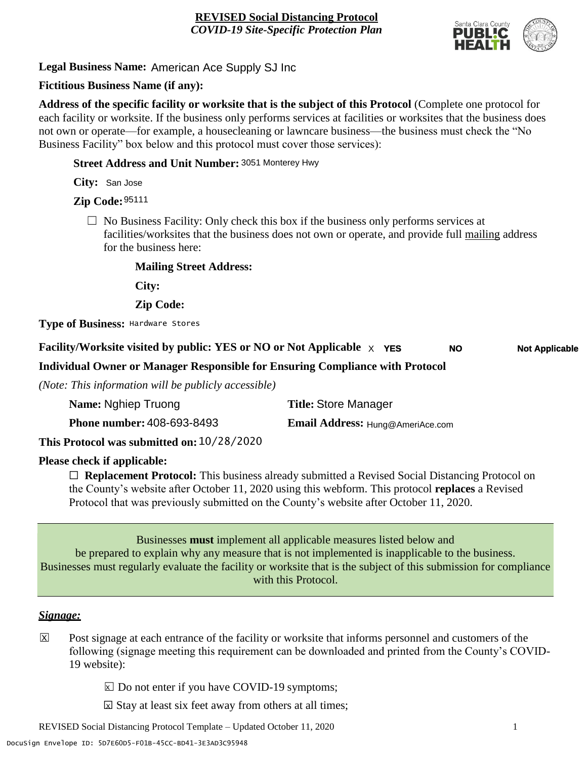

**Legal Business Name:** American Ace Supply SJ Inc

# **Fictitious Business Name (if any):**

**Address of the specific facility or worksite that is the subject of this Protocol** (Complete one protocol for each facility or worksite. If the business only performs services at facilities or worksites that the business does not own or operate—for example, a housecleaning or lawncare business—the business must check the "No Business Facility" box below and this protocol must cover those services):

**Street Address and Unit Number:** 3051 Monterey Hwy

**City:** San Jose

**Zip Code:** 95111

 $\Box$  No Business Facility: Only check this box if the business only performs services at facilities/worksites that the business does not own or operate, and provide full mailing address for the business here:

**Mailing Street Address:**

**City:**

**Zip Code:**

**Type of Business:** Hardware Stores

#### **Facility/Worksite visited by public: YES or NO or Not Applicable** X **NO Not Applicable**

**Individual Owner or Manager Responsible for Ensuring Compliance with Protocol**

*(Note: This information will be publicly accessible)*

| Name: Nghiep Truong               | <b>Title: Store Manager</b>      |
|-----------------------------------|----------------------------------|
| <b>Phone number: 408-693-8493</b> | Email Address: Hung@AmeriAce.com |
| 10/20/202<br>. .                  |                                  |

**This Protocol was submitted on:** 10/28/2020

# **Please check if applicable:**

☐ **Replacement Protocol:** This business already submitted a Revised Social Distancing Protocol on the County's website after October 11, 2020 using this webform. This protocol **replaces** a Revised Protocol that was previously submitted on the County's website after October 11, 2020.

Businesses **must** implement all applicable measures listed below and be prepared to explain why any measure that is not implemented is inapplicable to the business. Businesses must regularly evaluate the facility or worksite that is the subject of this submission for compliance with this Protocol.

#### *Signage:*

- Post signage at each entrance of the facility or worksite that informs personnel and customers of the following (signage meeting this requirement can be downloaded and printed from the County's COVID-19 website):  $|\mathsf{X}|$ 
	- $\boxed{\times}$  Do not enter if you have COVID-19 symptoms;
	- $\boxtimes$  Stay at least six feet away from others at all times;

REVISED Social Distancing Protocol Template – Updated October 11, 2020 1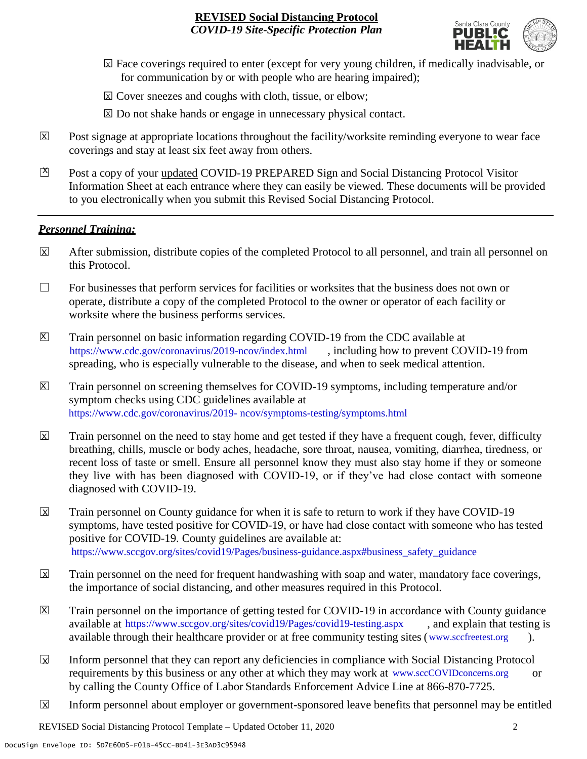

- ☐ Face coverings required to enter (except for very young children, if medically inadvisable, or X for communication by or with people who are hearing impaired);
- ⊠ Cover sneezes and coughs with cloth, tissue, or elbow;
- ⊠ Do not shake hands or engage in unnecessary physical contact.
- Post signage at appropriate locations throughout the facility/worksite reminding everyone to wear face coverings and stay at least six feet away from others. X
- Post a copy of your updated COVID-19 PREPARED Sign and Social Distancing Protocol Visitor Information Sheet at each entrance where they can easily be viewed. These documents will be provided to you electronically when you submit this Revised Social Distancing Protocol.  $\mathbb{Z}$

#### *Personnel Training:*

- After submission, distribute copies of the completed Protocol to all personnel, and train all personnel on this Protocol.  $\mathbf x$
- $\Box$  For businesses that perform services for facilities or worksites that the business does not own or operate, distribute a copy of the completed Protocol to the owner or operator of each facility or worksite where the business performs services.
- Train personnel on basic information regarding COVID-19 from the CDC available at [https://www.cdc.gov/coronavirus/2019-ncov/index.html,](https://www.cdc.gov/coronavirus/2019-ncov/index.html) including how to prevent COVID-19 from spreading, who is especially vulnerable to the disease, and when to seek medical attention.  $\mathsf{X}$
- Train personnel on screening themselves for COVID-19 symptoms, including temperature and/or symptom checks using CDC guidelines available at [https://www.cdc.gov/coronavirus/2019-](https://www.cdc.gov/coronavirus/2019-ncov/symptoms-testing/symptoms.html) [ncov/symptoms-testing/symptoms.html.](https://www.cdc.gov/coronavirus/2019-ncov/symptoms-testing/symptoms.html) https://www.cdc.gov/coronavirus/2019- ncov/symptoms-testing/symptoms.html  $|\mathsf{X}|$
- Train personnel on the need to stay home and get tested if they have a frequent cough, fever, difficulty breathing, chills, muscle or body aches, headache, sore throat, nausea, vomiting, diarrhea, tiredness, or recent loss of taste or smell. Ensure all personnel know they must also stay home if they or someone they live with has been diagnosed with COVID-19, or if they've had close contact with someone diagnosed with COVID-19.  $\overline{\mathsf{x}}$
- Train personnel on County guidance for when it is safe to return to work if they have COVID-19 symptoms, have tested positive for COVID-19, or have had close contact with someone who has tested positive for COVID-19. County guidelines are available at: [https://www.sccgov.org/sites/covid19/Pages/business-guidance.aspx#business\\_safety\\_guidance.](https://www.sccgov.org/sites/covid19/Pages/business-guidance.aspx#business_safety_guidance.) https://www.sccgov.org/sites/covid19/Pages/business-guidance.aspx#business\_safety\_guidance  $\overline{\mathbf{x}}$
- Train personnel on the need for frequent handwashing with soap and water, mandatory face coverings, the importance of social distancing, and other measures required in this Protocol.  $\overline{\mathsf{x}}$
- Train personnel on the importance of getting tested for COVID-19 in accordance with County guidance available at [https://www.sccgov.org/sites/covid19/Pages/covid19-testing.aspx,](https://www.sccgov.org/sites/covid19/Pages/covid19-testing.aspx) and explain that testing is available through their healthcare provider or at free community testing sites [\(www.sccfreetest.org](http://www.sccfreetest.org/) ).  $\vert X \vert$
- Inform personnel that they can report any deficiencies in compliance with Social Distancing Protocol requirements by this business or any other at which they may work at [www.sccCOVIDconcerns.org](http://www.scccovidconcerns.org/) or by calling the County Office of Labor Standards Enforcement Advice Line at 866-870-7725.  $\overline{\mathbf{x}}$
- Inform personnel about employer or government-sponsored leave benefits that personnel may be entitled  $\boxtimes$

REVISED Social Distancing Protocol Template – Updated October 11, 2020 2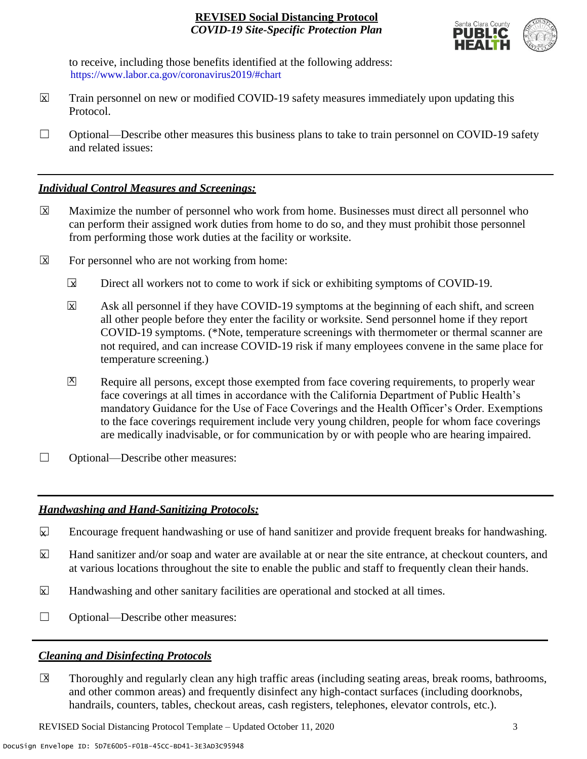

to receive, including those benefits identified at the following address: [https://www.labor.ca.gov/coronavirus2019/#chart.](https://www.labor.ca.gov/coronavirus2019/#chart) https://www.labor.ca.gov/coronavirus2019/#chart

- Train personnel on new or modified COVID-19 safety measures immediately upon updating this Protocol.  $\boxtimes$
- $\Box$  Optional—Describe other measures this business plans to take to train personnel on COVID-19 safety and related issues:

## *Individual Control Measures and Screenings:*

- Maximize the number of personnel who work from home. Businesses must direct all personnel who can perform their assigned work duties from home to do so, and they must prohibit those personnel from performing those work duties at the facility or worksite.  $|\overline{X}|$
- For personnel who are not working from home:  $\boxtimes$ 
	- Direct all workers not to come to work if sick or exhibiting symptoms of COVID-19.  $\overline{\mathbf{x}}$
	- Ask all personnel if they have COVID-19 symptoms at the beginning of each shift, and screen all other people before they enter the facility or worksite. Send personnel home if they report COVID-19 symptoms. (\*Note, temperature screenings with thermometer or thermal scanner are not required, and can increase COVID-19 risk if many employees convene in the same place for temperature screening.) X
	- Require all persons, except those exempted from face covering requirements, to properly wear face coverings at all times in accordance with the California Department of Public Health's mandatory Guidance for the Use of Face Coverings and the Health Officer's Order. Exemptions to the face coverings requirement include very young children, people for whom face coverings are medically inadvisable, or for communication by or with people who are hearing impaired.  $\mathbf{X}$
- □ Optional—Describe other measures:

# *Handwashing and Hand-Sanitizing Protocols:*

- Encourage frequent handwashing or use of hand sanitizer and provide frequent breaks for handwashing.  $\mathbf{x}$
- Hand sanitizer and/or soap and water are available at or near the site entrance, at checkout counters, and at various locations throughout the site to enable the public and staff to frequently clean their hands.  $\overline{\mathbf{x}}$
- Handwashing and other sanitary facilities are operational and stocked at all times.  $\mathbf{x}$
- ☐ Optional—Describe other measures:

# *Cleaning and Disinfecting Protocols*

☐ Thoroughly and regularly clean any high traffic areas (including seating areas, break rooms, bathrooms, and other common areas) and frequently disinfect any high-contact surfaces (including doorknobs, handrails, counters, tables, checkout areas, cash registers, telephones, elevator controls, etc.).  $\overline{\mathsf{x}}$ 

REVISED Social Distancing Protocol Template – Updated October 11, 2020 3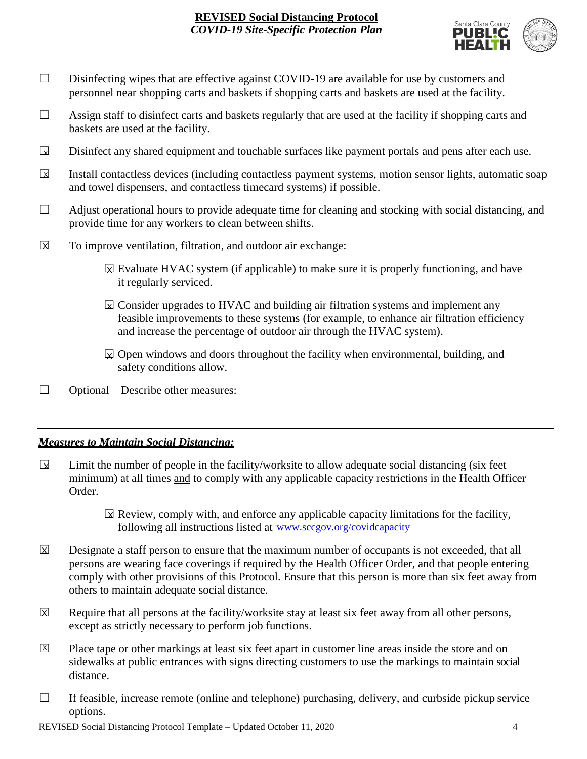

- □ Disinfecting wipes that are effective against COVID-19 are available for use by customers and personnel near shopping carts and baskets if shopping carts and baskets are used at the facility.
- $\Box$  Assign staff to disinfect carts and baskets regularly that are used at the facility if shopping carts and baskets are used at the facility.
- Disinfect any shared equipment and touchable surfaces like payment portals and pens after each use.  $\Box$
- Install contactless devices (including contactless payment systems, motion sensor lights, automatic soap and towel dispensers, and contactless timecard systems) if possible.  $\overline{\mathbf{x}}$
- $\Box$  Adjust operational hours to provide adequate time for cleaning and stocking with social distancing, and provide time for any workers to clean between shifts.
- To improve ventilation, filtration, and outdoor air exchange:  $\overline{\mathsf{x}}$ 
	- $\boxtimes$  Evaluate HVAC system (if applicable) to make sure it is properly functioning, and have it regularly serviced.
	- $\boxtimes$  Consider upgrades to HVAC and building air filtration systems and implement any feasible improvements to these systems (for example, to enhance air filtration efficiency and increase the percentage of outdoor air through the HVAC system).
	- $\boxtimes$  Open windows and doors throughout the facility when environmental, building, and safety conditions allow.
- ☐ Optional—Describe other measures:

# *Measures to Maintain Social Distancing:*

- Limit the number of people in the facility/worksite to allow adequate social distancing (six feet minimum) at all times and to comply with any applicable capacity restrictions in the Health Officer Order.  $\mathbf{r}$ 
	- $\boxtimes$  Review, comply with, and enforce any applicable capacity limitations for the facility, following all instructions listed at www.sccgov.org/covidcapacity
- Designate a staff person to ensure that the maximum number of occupants is not exceeded, that all persons are wearing face coverings if required by the Health Officer Order, and that people entering comply with other provisions of this Protocol. Ensure that this person is more than six feet away from others to maintain adequate social distance.  $\overline{\mathsf{x}}$
- Require that all persons at the facility/worksite stay at least six feet away from all other persons, except as strictly necessary to perform job functions. X
- Place tape or other markings at least six feet apart in customer line areas inside the store and on sidewalks at public entrances with signs directing customers to use the markings to maintain social distance. X
- $\Box$  If feasible, increase remote (online and telephone) purchasing, delivery, and curbside pickup service options.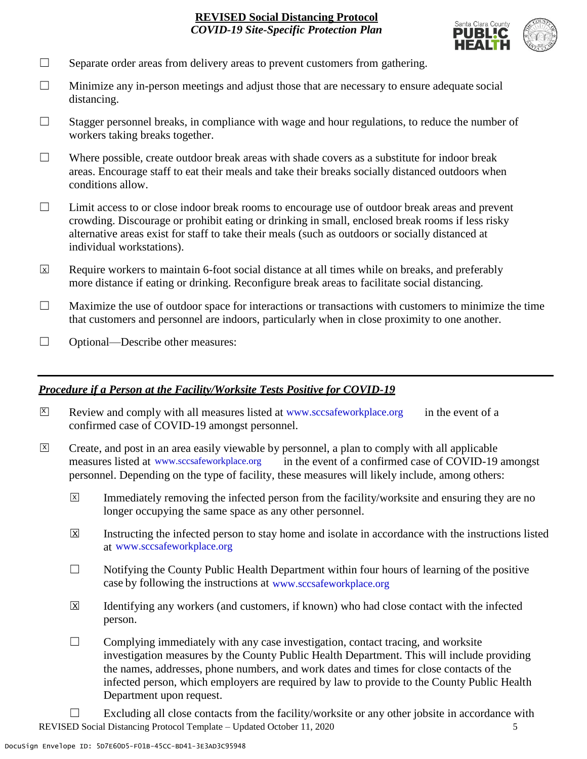

- $\Box$  Separate order areas from delivery areas to prevent customers from gathering.
- $\Box$  Minimize any in-person meetings and adjust those that are necessary to ensure adequate social distancing.
- $\Box$  Stagger personnel breaks, in compliance with wage and hour regulations, to reduce the number of workers taking breaks together.
- $\Box$  Where possible, create outdoor break areas with shade covers as a substitute for indoor break areas. Encourage staff to eat their meals and take their breaks socially distanced outdoors when conditions allow.
- ☐ Limit access to or close indoor break rooms to encourage use of outdoor break areas and prevent crowding. Discourage or prohibit eating or drinking in small, enclosed break rooms if less risky alternative areas exist for staff to take their meals (such as outdoors or socially distanced at individual workstations).
- Require workers to maintain 6-foot social distance at all times while on breaks, and preferably more distance if eating or drinking. Reconfigure break areas to facilitate social distancing. X
- $\Box$  Maximize the use of outdoor space for interactions or transactions with customers to minimize the time that customers and personnel are indoors, particularly when in close proximity to one another.
- □ Optional—Describe other measures:

#### *Procedure if a Person at the Facility/Worksite Tests Positive for COVID-19*

- $\boxtimes$  Review and comply with all measures listed at [www.sccsafeworkplace.org](http://www.sccsafeworkplace.org/) in the event of a confirmed case of COVID-19 amongst personnel. X
- ☐ Create, and post in an area easily viewable by personnel, a plan to comply with all applicable in the event of a confirmed case of COVID-19 amongst personnel. Depending on the type of facility, these measures will likely include, among others:  $\overline{X}$ measures listed at www.sccsafeworkplace.org
	- Immediately removing the infected person from the facility/worksite and ensuring they are no longer occupying the same space as any other personnel.  $\overline{X}$
	- Instructing the infected person to stay home and isolate in accordance with the instructions listed at [www.sccsafeworkplace.org.](file:///C:/Users/raphael.rajendra/AppData/Local/Microsoft/Windows/INetCache/Content.Outlook/PTLHNOTE/www.sccsafeworkplace.org) www.sccsafeworkplace.org X
	- $\Box$  Notifying the County Public Health Department within four hours of learning of the positive case by following the instructions at www.sccsafeworkplace.org
	- Identifying any workers (and customers, if known) who had close contact with the infected person.  $\overline{\mathsf{x}}$
	- $\Box$  Complying immediately with any case investigation, contact tracing, and worksite investigation measures by the County Public Health Department. This will include providing the names, addresses, phone numbers, and work dates and times for close contacts of the infected person, which employers are required by law to provide to the County Public Health Department upon request.
- REVISED Social Distancing Protocol Template Updated October 11, 2020 5  $\Box$  Excluding all close contacts from the facility/worksite or any other jobsite in accordance with